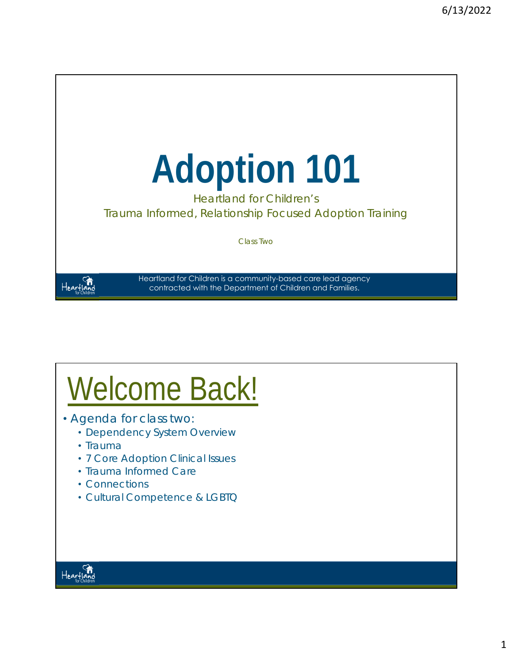

Heartland for Children's Trauma Informed, Relationship Focused Adoption Training

Class Two

Heartland

Heartland for Children is a community-based care lead agency contracted with the Department of Children and Families.

# Welcome Back!

- Agenda for class two:
	- *Dependency System Overview*
	- *Trauma*
	- *7 Core Adoption Clinical Issues*
	- *Trauma Informed Care*
	- *Connections*
	- *Cultural Competence & LGBTQ*

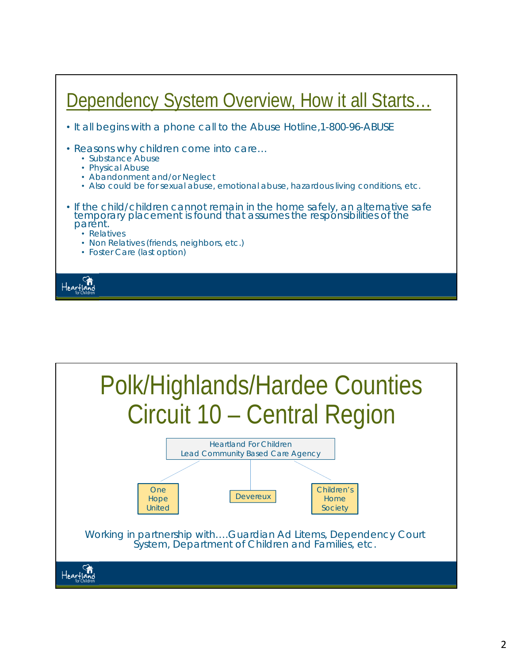

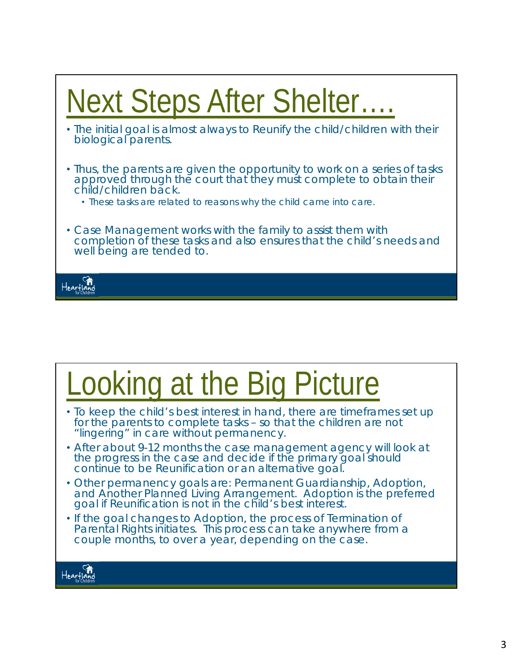

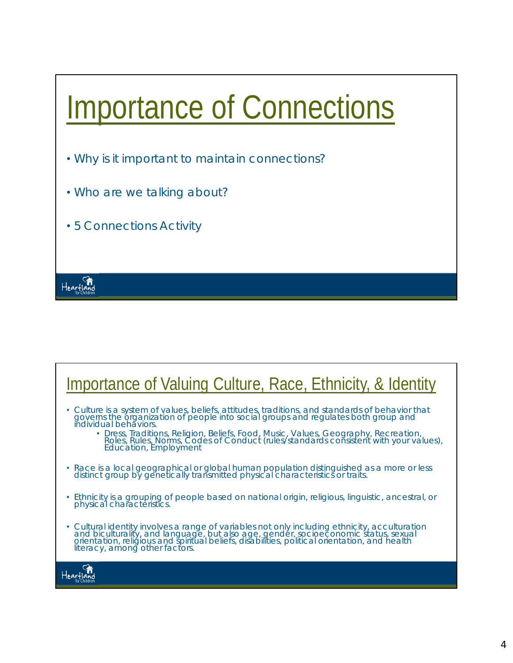

### Importance of Valuing Culture, Race, Ethnicity, & Identity

- *Culture* is a system of values, beliefs, attitudes, traditions, and standards of behavior that governs the organization of people into social groups and regulates both group and<br>individual behaviors.
	- Dress, Traditions, Religion, Beliefs, Food, Music, Values, Geography, Recreation, Roles, Rules, Norms, Codes of Conduct (rules/standards consistent with your values), Education, Employment
- *Race* is a local geographical or global human population distinguished as a more or less distinct group by genetically transmitted physical characteristics or traits.
- *Ethnicity* is a grouping of people based on national origin, religious, linguistic, ancestral, or physical characteristics.
- *Cultural identity* involves a range of variables not only including ethnicity, acculturation and biculturality, and language, but also age, gender, socioeconomic status, sexual orientation, religious and spiritual beliefs, disabilities, political orientation, and health literacy, among other factors.

Heartland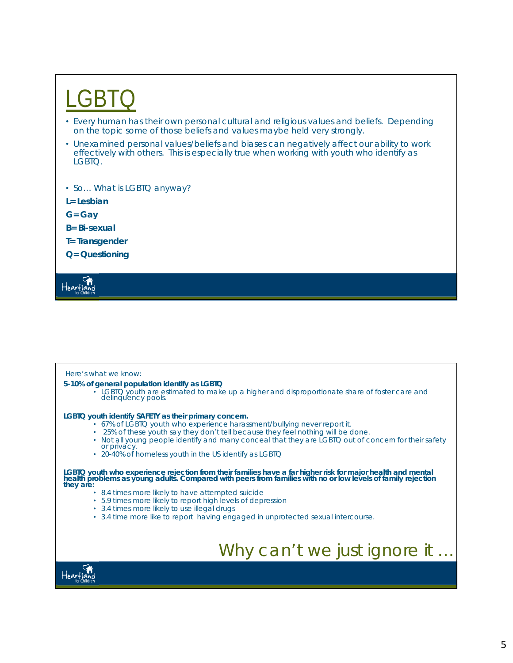## $G\mathsf{B}$

- Every human has their own personal cultural and religious values and beliefs. Depending on the topic some of those beliefs and values maybe held very strongly.
- Unexamined personal values/beliefs and biases can negatively affect our ability to work effectively with others. This is especially true when working with youth who identify as LGBTQ.
- So... What is LGBTQ anyway?
- **L= Lesbian**
- **G= Gay**
- **B= Bi-sexual**
- **T= Transgender**
- **Q= Questioning**

tearf10

#### *Here's what we know:*

- **5-10% of general population identify as LGBTQ**
	- $\cdot$  LGBTQ youth are estimated to make up a higher and disproportionate share of foster care and delinquency pools.

**LGBTQ youth identify SAFETY as their primary concern.**

- 67% of LGBTQ youth who experience harassment/bullying never report it.
- 25% of these youth say they don't tell because they feel nothing will be done.
- Not all young people identify and many conceal that they are LGBTQ out of concern for their safety or privacy.
- 20-40% of homeless youth in the US identify as LGBTQ

LGBTQ youth who experience rejection from their families have a far higher risk for major health and mental<br>health problems as young adults. Compared with peers from families with no or low levels of family rejection<br>they

- 8.4 times more likely to have attempted suicide
- 5.9 times more likely to report high levels of depression
- 3.4 times more likely to use illegal drugs
- 3.4 time more like to report having engaged in unprotected sexual intercourse.

### Why can't we just ignore it ...

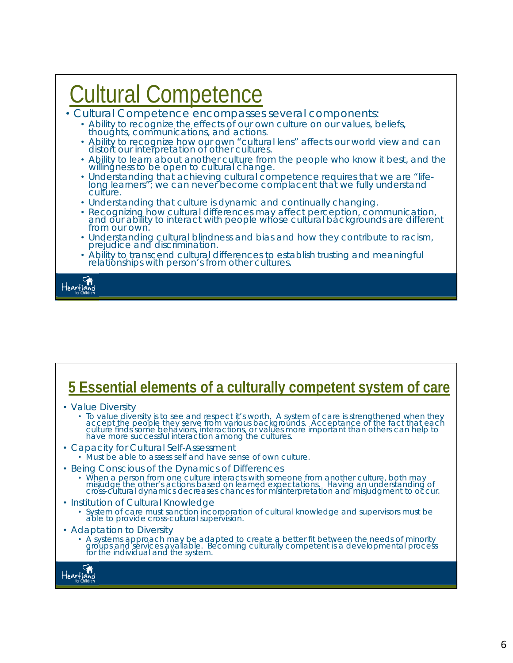### Cultural Competence

- Cultural Competence encompasses several components:
	- Ability to recognize the effects of our own culture on our values, beliefs, thoughts, communications, and actions.
	- Ability to recognize how our own "cultural lens" affects our world view and can distort our interpretation of other cultures.
	- Ability to learn about another culture from the people who know it best, and the willingness to be open to cultural change.
	- Understanding that achieving cultural competence requires that we are "lifelong learners"; we can never become complacent that we fully understand<br>culture.
	- Understanding that culture is dynamic and continually changing.
	- Recognizing how cultural differences may affect perception, communication, and our ability to interact with people whose cultural backgrounds are different from our own.
	- Understanding cultural blindness and bias and how they contribute to racism, prejudice and discrimination.
	- Ability to transcend cultural differences to establish trusting and meaningful relationships with person's from other cultures.

Heartland

### **5 Essential elements of a culturally competent system of care**

- *Value Diversity*
	- To value diversity is to see and respect it's worth. A system of care is strengthened when they accept the people they serve from various backgrounds. Acceptance of the fact that each culture finds some behaviors, intera
- *Capacity for Cultural Self-Assessment*
	- Must be able to assess self and have sense of own culture.
- *Being Conscious of the Dynamics of Differences*
	- When a person from one culture interacts with someone from another culture, both may<br>misjudge the other's actions based on learned expectations. Having an understanding of<br>cross-cultural dynamics decreases chances for mi
- *Institution of Cultural Knowledge*
	- System of care must sanction incorporation of cultural knowledge and supervisors must be able to provide cross-cultural supervision.
- *Adaptation to Diversity*
	- A systems approach may be adapted to create a better fit between the needs of minority groups and services available. Becoming culturally competent is a developmental process for the individual and the system.

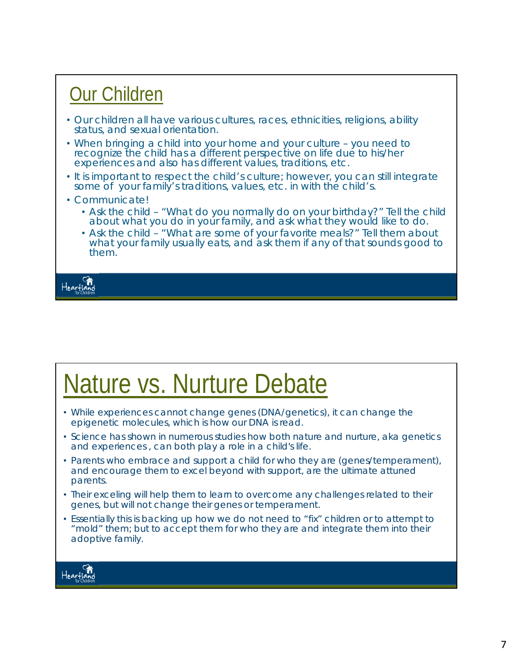### Our Children • Our children all have various cultures, races, ethnicities, religions, ability status, and sexual orientation. • When bringing a child into your home and your culture – you need to recognize the child has a different perspective on life due to his/her experiences and also has different values, traditions, etc. • It is important to respect the child's culture; however, you can still integrate some of your family's traditions, values, etc. in with the child's. • Communicate! • Ask the child – "What do you normally do on your birthday?" Tell the child about what you do in your family, and ask what they would like to do.

• Ask the child – "What are some of your favorite meals?" Tell them about what your family usually eats, and ask them if any of that sounds good to them.



## Nature vs. Nurture Debate

- While experiences cannot change genes (DNA/genetics), it can change the epigenetic molecules, which is how our DNA is read.
- Science has shown in numerous studies how both nature and nurture, aka genetics and experiences , can both play a role in a child's life.
- Parents who embrace and support a child for who they are (genes/temperament), and encourage them to excel beyond with support, are the ultimate attuned parents.
- Their exceling will help them to learn to overcome any challenges related to their genes, but will not change their genes or temperament.
- Essentially this is backing up how we do not need to "fix" children or to attempt to "mold" them; but to accept them for who they are and integrate them into their adoptive family.

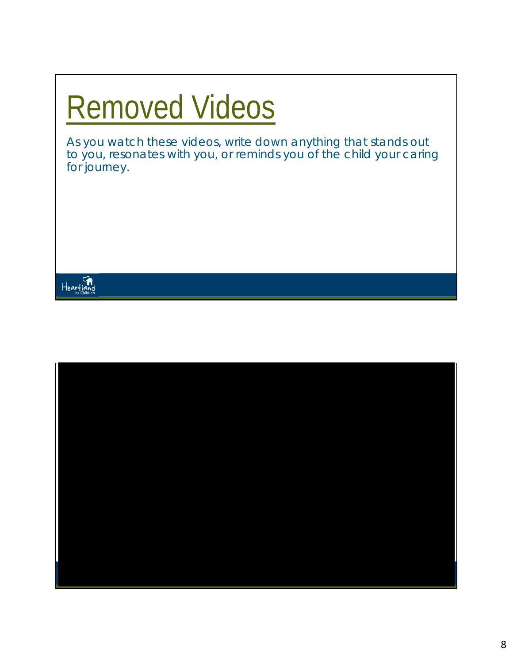# Removed Videos

*As you watch these videos, write down anything that stands out to you, resonates with you, or reminds you of the child your caring for journey.* 



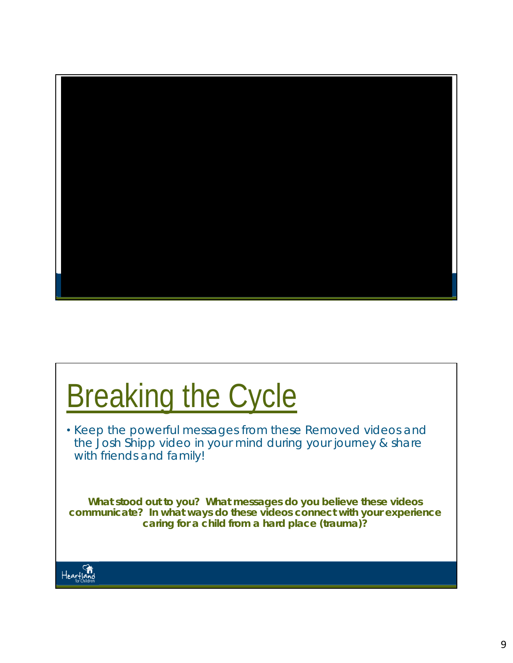

# **Breaking the Cycle**

• Keep the powerful messages from these Removed videos and the Josh Shipp video in your mind during your journey & share with friends and family!

*What stood out to you? What messages do you believe these videos communicate? In what ways do these videos connect with your experience caring for a child from a hard place (trauma)?* 

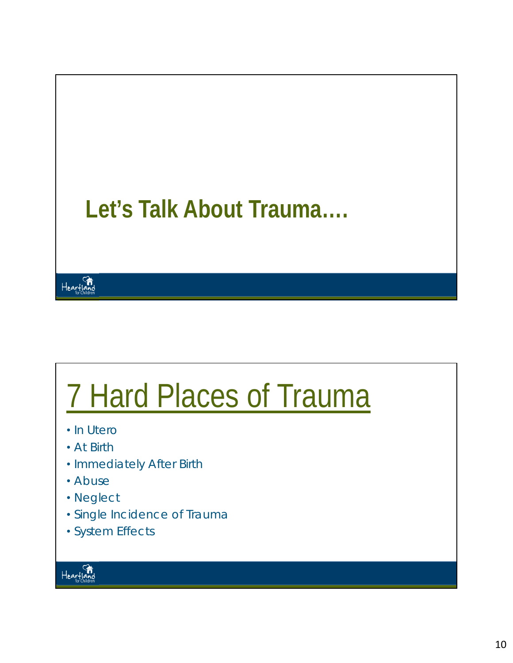

# 7 Hard Places of Trauma

- In Utero
- At Birth
- Immediately After Birth
- Abuse
- Neglect
- Single Incidence of Trauma
- System Effects

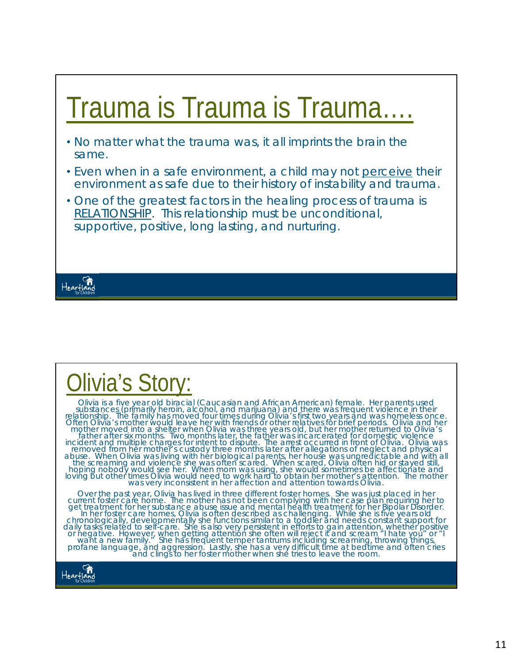## Trauma is Trauma is Trauma….

- No matter what the trauma was, it all imprints the brain the same.
- Even when in a safe environment, a child may not *perceive* their environment as safe due to their history of instability and trauma.
- One of the greatest factors in the healing process of trauma is RELATIONSHIP. This relationship must be unconditional, supportive, positive, long lasting, and nurturing.



Heartland<br>Heartland

## Olivia's Story:

Olivia is a five year old biracial (Caucasian and African American) female. Her parents used<br>substances (primarily heroin, alcohol, and marijuana) and there was frequent violence in their<br>relationship. The family has moved mother moved into a shelter when Olivia was three years old, but her mother returned to Olivia's<br>father after six months. Two months later, the father was incarcerated for domestic violence<br>incident and multiple charges fo Over the past year, Olivia has lived in three different foster homes. She was just placed in her current foster care home. The mother has not been complying with her case plan requiring her to get treatment for her substan

daily tasks related to self-care. She is also very persistent in efforts to gain attention, whether positive<br>or negative. However, when getting attention she often will reject it and scream "I hate you" or "I<br>want a new fa

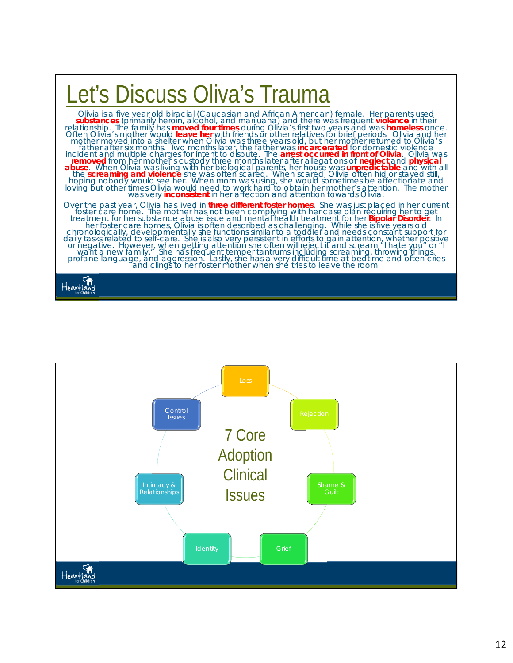

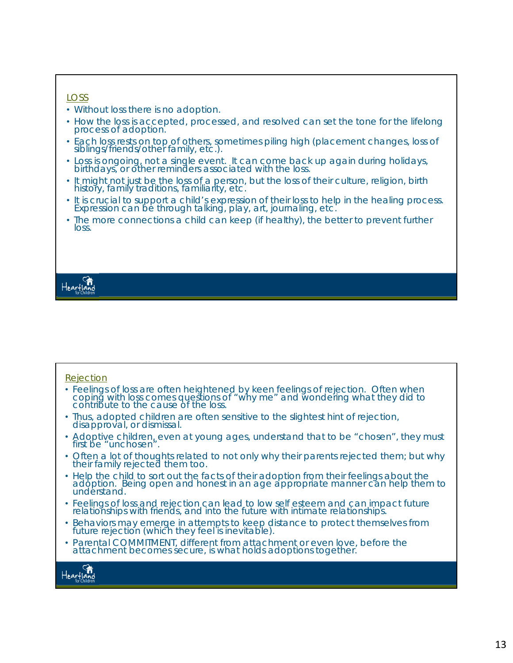#### *LOSS*

- Without loss there is no adoption.
- How the loss is accepted, processed, and resolved can set the tone for the lifelong process of adoption.
- Each loss rests on top of others, sometimes piling high (placement changes, loss of siblings/friends/other family, etc.).
- Loss is ongoing, not a single event. It can come back up again during holidays, birthdays, or other reminders associated with the loss.
- It might not just be the loss of a person, but the loss of their culture, religion, birth history, family traditions, familiarity, etc.
- It is crucial to support a child's expression of their loss to help in the healing process. Expression can be through talking, play, art, journaling, etc.
- The more connections a child can keep (if healthy), the better to prevent further loss.

### Heartland

#### *Rejection*

- Feelings of loss are often heightened by keen feelings of rejection. Often when coping with loss comes questions of "why me" and wondering what they did to contribute to the cause of the loss.
- Thus, adopted children are often sensitive to the slightest hint of rejection, disapproval, or dismissal.
- Adoptive children, even at young ages, understand that to be "chosen", they must first be "unchosen".
- Often a lot of thoughts related to not only why their parents rejected them; but why their family rejected them too.
- Help the child to sort out the facts of their adoption from their feelings about the adoption. Being open and honest in an age appropriate manner can help them to understand.
- Feelings of loss and rejection can lead to low self esteem and can impact future relationships with friends, and into the future with intimate relationships.
- Behaviors may emerge in attempts to keep distance to protect themselves from future rejection (which they feel is inevitable).
- Parental COMMITMENT, different from attachment or even love, before the attachment becomes secure, is what holds adoptions together.

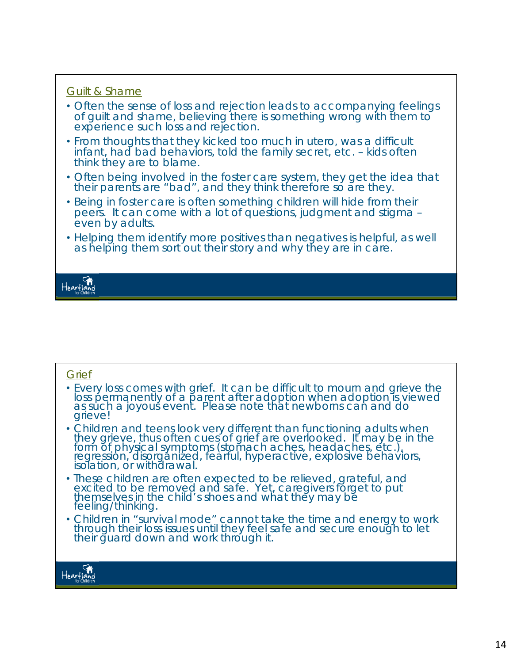#### *Guilt & Shame*

- Often the sense of loss and rejection leads to accompanying feelings of guilt and shame, believing there is something wrong with them to experience such loss and rejection.
- From thoughts that they kicked too much in utero, was a difficult infant, had bad behaviors, told the family secret, etc. – kids often think they are to blame.
- Often being involved in the foster care system, they get the idea that their parents are "bad", and they think therefore so are they.
- Being in foster care is often something children will hide from their peers. It can come with a lot of questions, judgment and stigma – even by adults.
- Helping them identify more positives than negatives is helpful, as well as helping them sort out their story and why they are in care.

Heartland

#### *Grief*

- Every loss comes with grief. It can be difficult to mourn and grieve the loss permanently of a parent after adoption when adoption is viewed as such a joyous event. Please note that newborns can and do grieve!
- Children and teens look very different than functioning adults when they grieve, thus often cues of grief are overlooked. It may be in the form of physical symptoms (stomach aches, headaches, etc.), regression, disorganized, fearful, hyperactive, explosive behaviors, isolation, or withdrawal.
- These children are often expected to be relieved, grateful, and excited to be removed and safe. Yet, caregivers forget to put themselves in the child's shoes and what they may be feeling/thinking.
- Children in "survival mode" cannot take the time and energy to work through their loss issues until they feel safe and secure enough to let their guard down and work through it.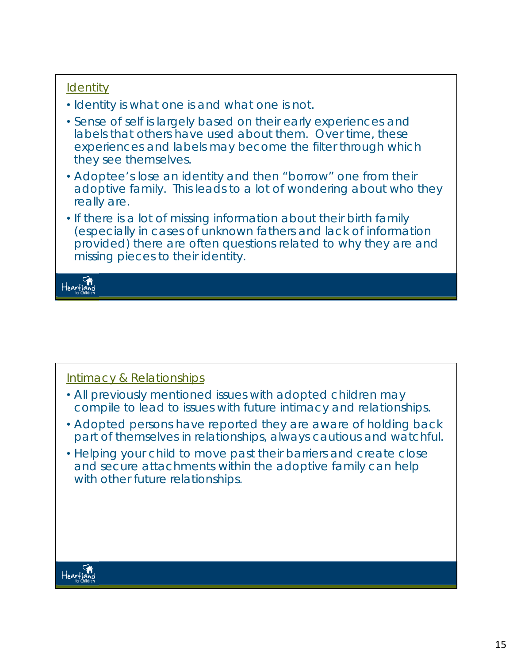### *Identity*

- Identity is what one is and what one is not.
- Sense of self is largely based on their early experiences and labels that others have used about them. Over time, these experiences and labels may become the filter through which they see themselves.
- Adoptee's lose an identity and then "borrow" one from their adoptive family. This leads to a lot of wondering about who they really are.
- If there is a lot of missing information about their birth family (especially in cases of unknown fathers and lack of information provided) there are often questions related to why they are and missing pieces to their identity.

Heartland

### *Intimacy & Relationships*

- All previously mentioned issues with adopted children may compile to lead to issues with future intimacy and relationships.
- Adopted persons have reported they are aware of holding back part of themselves in relationships, always cautious and watchful.
- Helping your child to move past their barriers and create close and secure attachments within the adoptive family can help with other future relationships.

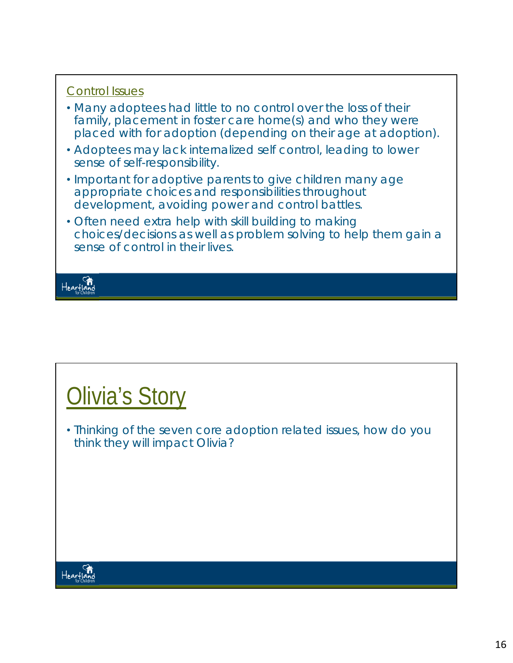### *Control Issues*

- Many adoptees had little to no control over the loss of their family, placement in foster care home(s) and who they were placed with for adoption (depending on their age at adoption).
- Adoptees may lack internalized self control, leading to lower sense of self-responsibility.
- Important for adoptive parents to give children many age appropriate choices and responsibilities throughout development, avoiding power and control battles.
- Often need extra help with skill building to making choices/decisions as well as problem solving to help them gain a sense of control in their lives.

Heartland

## **Olivia's Story**

• Thinking of the seven core adoption related issues, how do you think they will impact Olivia?